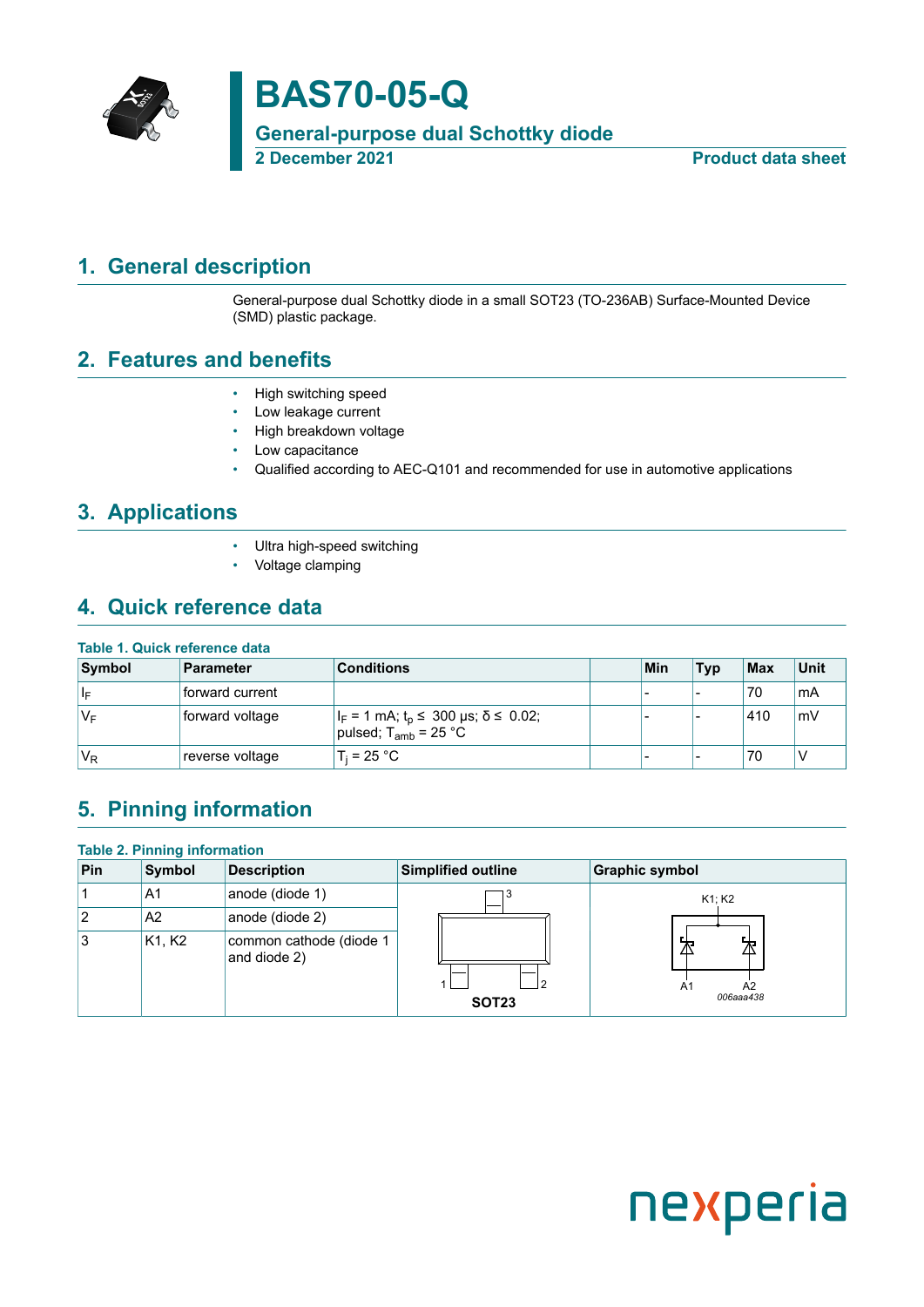

# **BAS70-05-Q**

**General-purpose dual Schottky diode**

**Product data sheet** 

### <span id="page-0-0"></span>**1. General description**

General-purpose dual Schottky diode in a small SOT23 (TO-236AB) Surface-Mounted Device (SMD) plastic package.

#### <span id="page-0-1"></span>**2. Features and benefits**

- High switching speed
- Low leakage current
- High breakdown voltage
- Low capacitance
- Qualified according to AEC-Q101 and recommended for use in automotive applications

### <span id="page-0-2"></span>**3. Applications**

- Ultra high-speed switching
- Voltage clamping

### <span id="page-0-3"></span>**4. Quick reference data**

#### **Table 1. Quick reference data**

| Symbol | <b>Parameter</b> | <b>Conditions</b>                                                                 | Min | <b>Typ</b>               | $ $ Max | <b>Unit</b> |
|--------|------------------|-----------------------------------------------------------------------------------|-----|--------------------------|---------|-------------|
| ∣∣⊧    | forward current  |                                                                                   | -   | $\overline{\phantom{a}}$ | 70      | ˈmA         |
| 'V⊧    | forward voltage  | $ I_F = 1$ mA; $t_p \le 300$ µs; $\delta \le 0.02$ ;<br>pulsed; $T_{amb}$ = 25 °C |     |                          | 410     | mV          |
| $V_R$  | reverse voltage  | $T_i = 25 °C$                                                                     | -   | $\overline{\phantom{a}}$ | 70      | ν           |

# <span id="page-0-4"></span>**5. Pinning information**

|     | <b>Table 2. Pinning information</b> |                                         |                    |                            |  |  |  |  |
|-----|-------------------------------------|-----------------------------------------|--------------------|----------------------------|--|--|--|--|
| Pin | <b>Symbol</b>                       | <b>Description</b>                      | Simplified outline | <b>Graphic symbol</b>      |  |  |  |  |
|     | A1                                  | anode (diode 1)                         |                    | K1; K2                     |  |  |  |  |
| 2   | A2                                  | anode (diode 2)                         |                    |                            |  |  |  |  |
| 3   | K <sub>1</sub> , K <sub>2</sub>     | common cathode (diode 1<br>and diode 2) | <b>SOT23</b>       | 丕<br>A2<br>A1<br>006aaa438 |  |  |  |  |

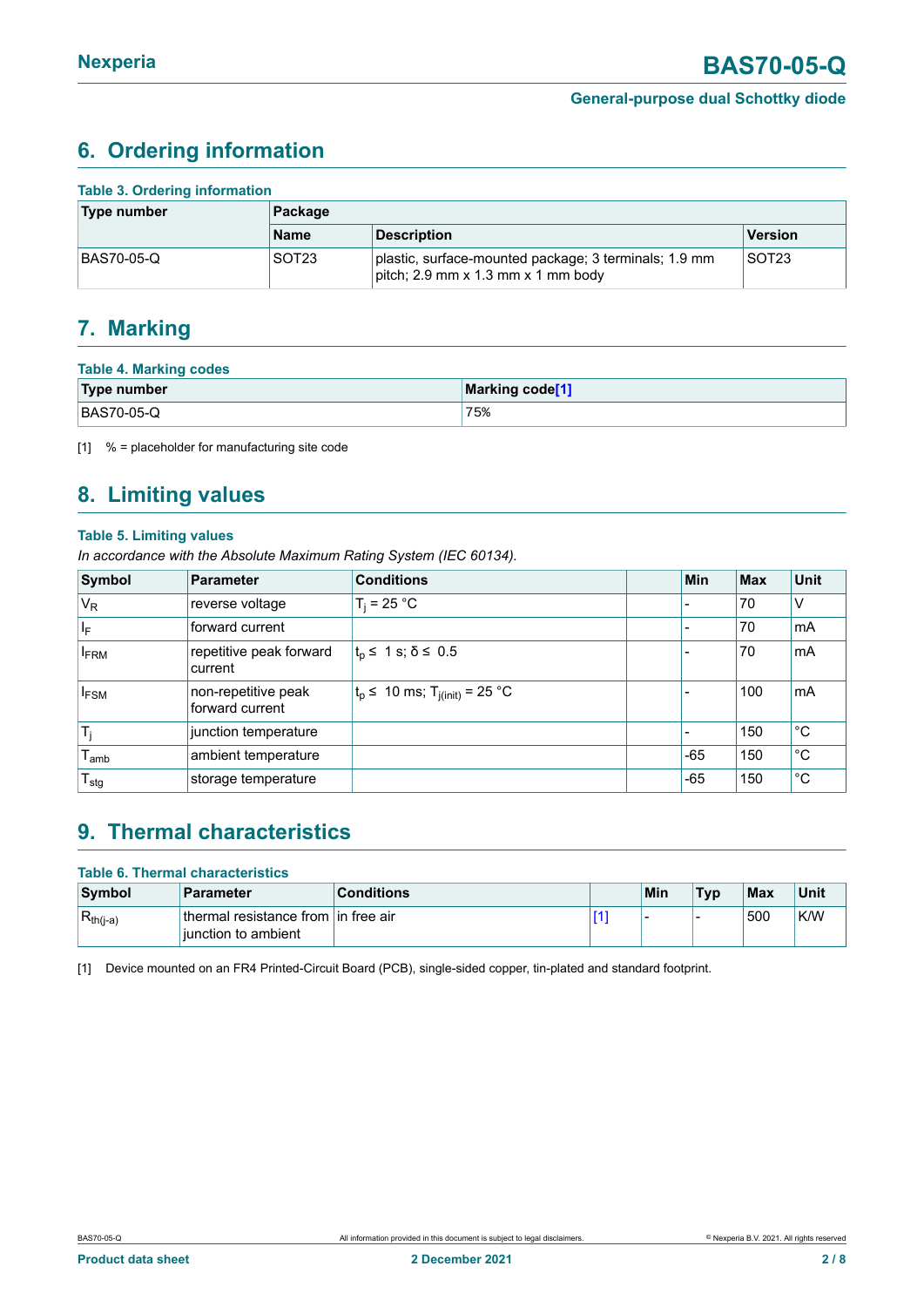### <span id="page-1-1"></span><span id="page-1-0"></span>**6. Ordering information**

| <b>Table 3. Ordering information</b> |                   |                                                                                             |                   |  |  |  |
|--------------------------------------|-------------------|---------------------------------------------------------------------------------------------|-------------------|--|--|--|
| Type number                          | Package           |                                                                                             |                   |  |  |  |
|                                      | <b>Name</b>       | <b>Description</b>                                                                          | <b>Version</b>    |  |  |  |
| BAS70-05-Q                           | SOT <sub>23</sub> | plastic, surface-mounted package; 3 terminals; 1.9 mm<br>pitch; 2.9 mm x 1.3 mm x 1 mm body | SOT <sub>23</sub> |  |  |  |

#### <span id="page-1-2"></span>**7. Marking**

| <b>Table 4. Marking codes</b> |                 |
|-------------------------------|-----------------|
| Type number                   | Marking code[1] |
| BAS70-05-Q                    | '75             |

[1] % = placeholder for manufacturing site code

# <span id="page-1-3"></span>**8. Limiting values**

#### **Table 5. Limiting values**

*In accordance with the Absolute Maximum Rating System (IEC 60134).*

| Symbol                  | <b>Parameter</b>                       | <b>Conditions</b>                            | <b>Min</b> | <b>Max</b> | <b>Unit</b>  |
|-------------------------|----------------------------------------|----------------------------------------------|------------|------------|--------------|
| $V_R$                   | reverse voltage                        | $T_i = 25 °C$                                |            | 70         | $\vee$       |
| $\mathsf{I}_\mathsf{F}$ | forward current                        |                                              |            | 70         | mA           |
| <b>FRM</b>              | repetitive peak forward<br>current     | $t_{\rm p} \leq 1$ s; $\delta \leq 0.5$      |            | 70         | mA           |
| <b>IFSM</b>             | non-repetitive peak<br>forward current | $ t_p$ ≤ 10 ms; T <sub>j(init)</sub> = 25 °C |            | 100        | mA           |
| $T_i$                   | junction temperature                   |                                              |            | 150        | $^{\circ}$ C |
| I <sub>amb</sub>        | ambient temperature                    |                                              | $-65$      | 150        | $^{\circ}C$  |
| $T_{\text{stg}}$        | storage temperature                    |                                              | $-65$      | 150        | °С           |

### <span id="page-1-4"></span>**9. Thermal characteristics**

| <b>Table 6. Thermal characteristics</b> |                                                               |                   |  |     |            |            |      |
|-----------------------------------------|---------------------------------------------------------------|-------------------|--|-----|------------|------------|------|
| Symbol                                  | Parameter                                                     | <b>Conditions</b> |  | Min | <b>Typ</b> | <b>Max</b> | Unit |
| $R_{th(j-a)}$                           | ⊥thermal resistance from Lin free air<br>liunction to ambient |                   |  |     |            | ⊧500       | K/W  |

[1] Device mounted on an FR4 Printed-Circuit Board (PCB), single-sided copper, tin-plated and standard footprint.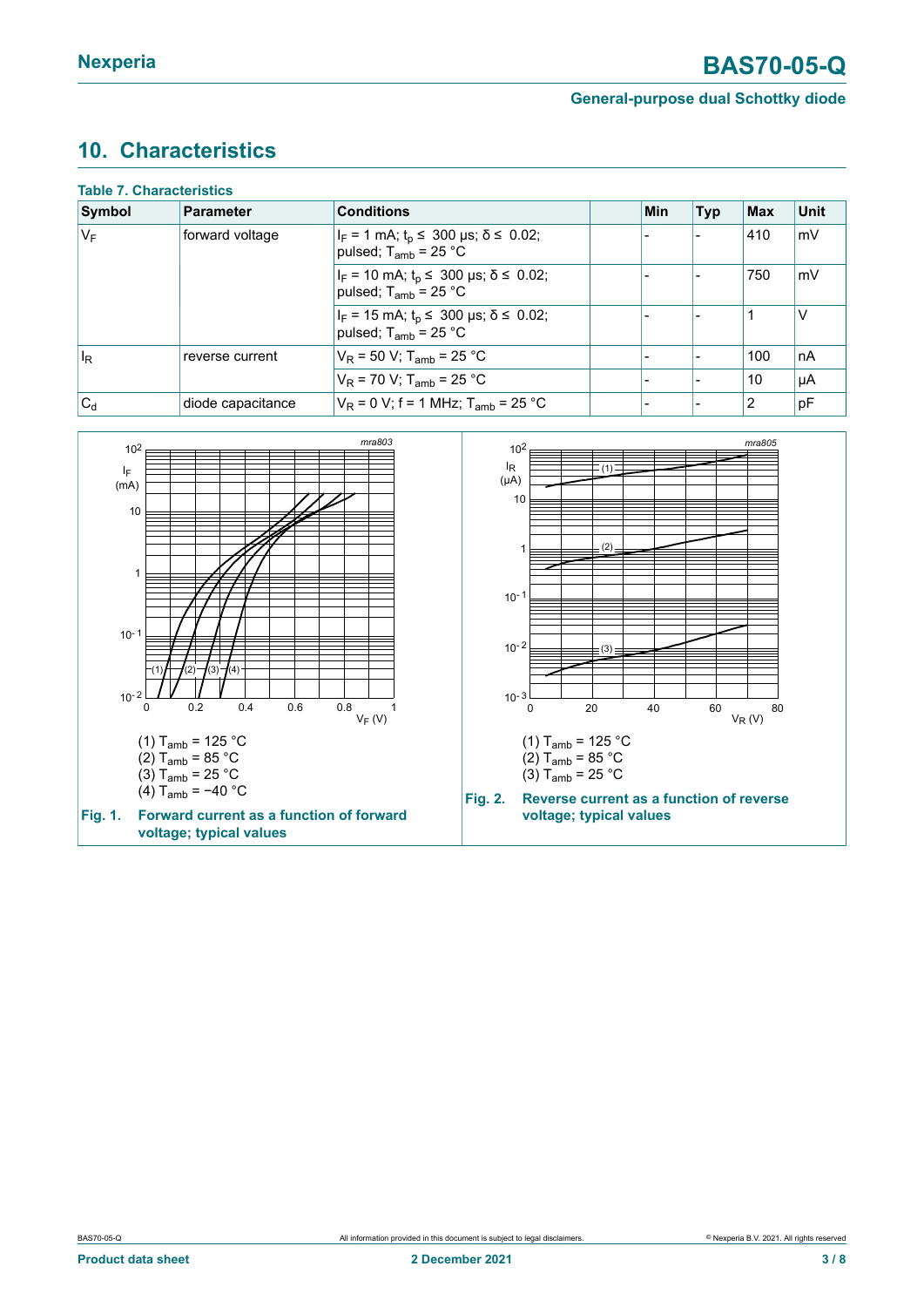## <span id="page-2-0"></span>**10. Characteristics**

| <b>Table 7. Characteristics</b> |                   |                                                                                                        |     |            |     |             |
|---------------------------------|-------------------|--------------------------------------------------------------------------------------------------------|-----|------------|-----|-------------|
| Symbol                          | Parameter         | <b>Conditions</b>                                                                                      | Min | <b>Typ</b> | Max | <b>Unit</b> |
| $ V_F $                         | forward voltage   | $ I_F = 1$ mA; $t_p \le 300$ µs; $\delta \le 0.02$ ;<br>pulsed; $T_{amb}$ = 25 °C                      |     |            | 410 | mV          |
|                                 |                   | $ I_F = 10 \text{ mA}; t_p \le 300 \text{ }\mu\text{s}; \delta \le 0.02;$<br>pulsed; $T_{amb}$ = 25 °C |     |            | 750 | mV          |
|                                 |                   | $I_F = 15$ mA; $t_p \le 300$ µs; $\delta \le 0.02$ ;<br>pulsed; $T_{amb}$ = 25 °C                      |     |            |     | v           |
| $ I_{\mathsf{R}}$               | reverse current   | $V_R$ = 50 V; T <sub>amb</sub> = 25 °C                                                                 |     |            | 100 | ∣nA         |
|                                 |                   | $V_R$ = 70 V; T <sub>amb</sub> = 25 °C                                                                 |     |            | 10  | µA          |
| $ C_{d}$                        | diode capacitance | $V_R$ = 0 V; f = 1 MHz; T <sub>amb</sub> = 25 °C                                                       |     |            | 12  | pF          |

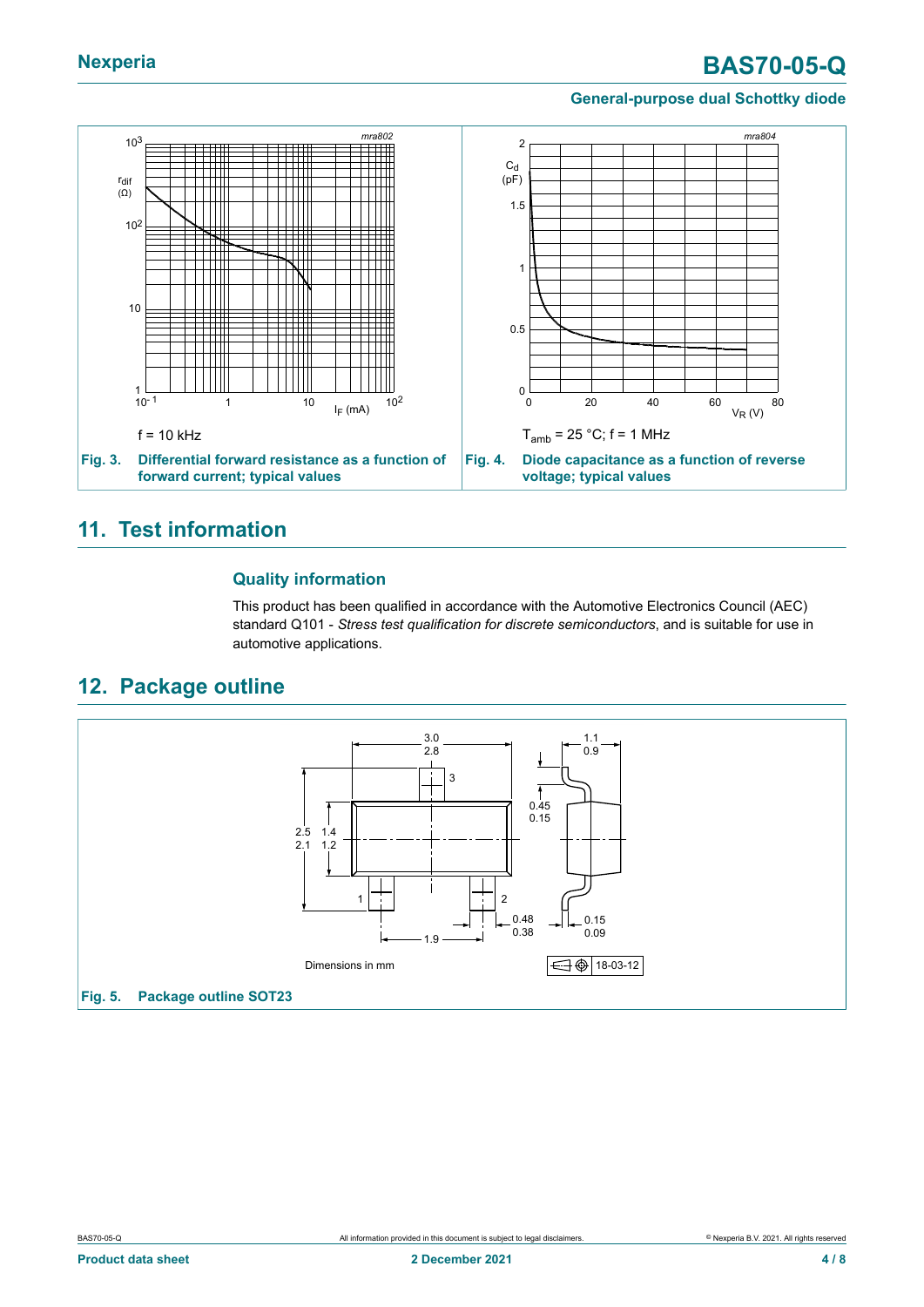# **Nexperia BAS70-05-Q**

#### **General-purpose dual Schottky diode**



#### <span id="page-3-0"></span>**11. Test information**

#### **Quality information**

This product has been qualified in accordance with the Automotive Electronics Council (AEC) standard Q101 - *Stress test qualification for discrete semiconductors*, and is suitable for use in automotive applications.

#### <span id="page-3-1"></span>**12. Package outline**

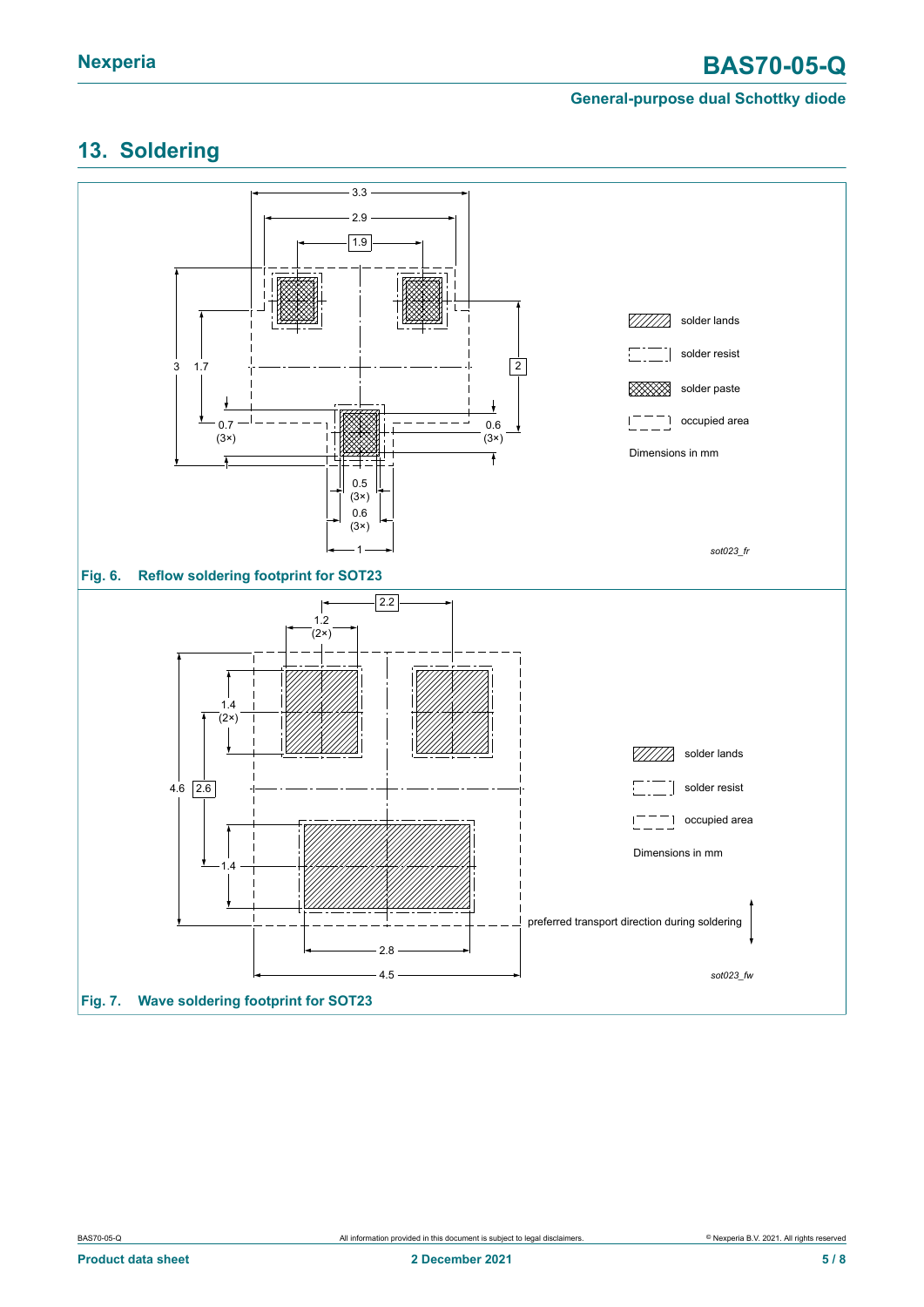# <span id="page-4-0"></span>**13. Soldering**

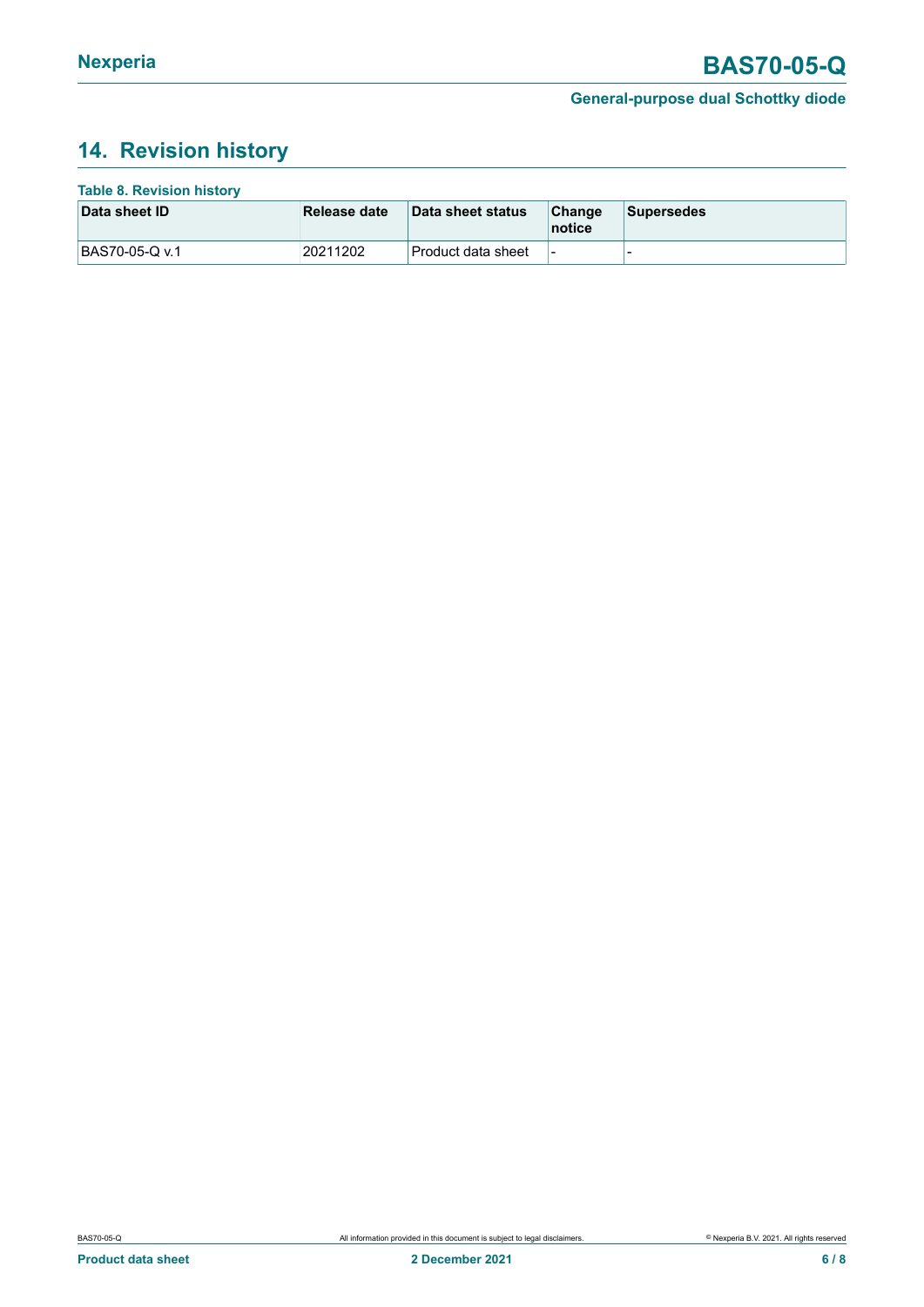# <span id="page-5-0"></span>**14. Revision history**

| <b>Table 8. Revision history</b> |              |                     |                          |                   |
|----------------------------------|--------------|---------------------|--------------------------|-------------------|
| Data sheet ID                    | Release date | Data sheet status   | Change<br>notice         | <b>Supersedes</b> |
| BAS70-05-Q v.1                   | 20211202     | ∣Product data sheet | $\overline{\phantom{a}}$ | -                 |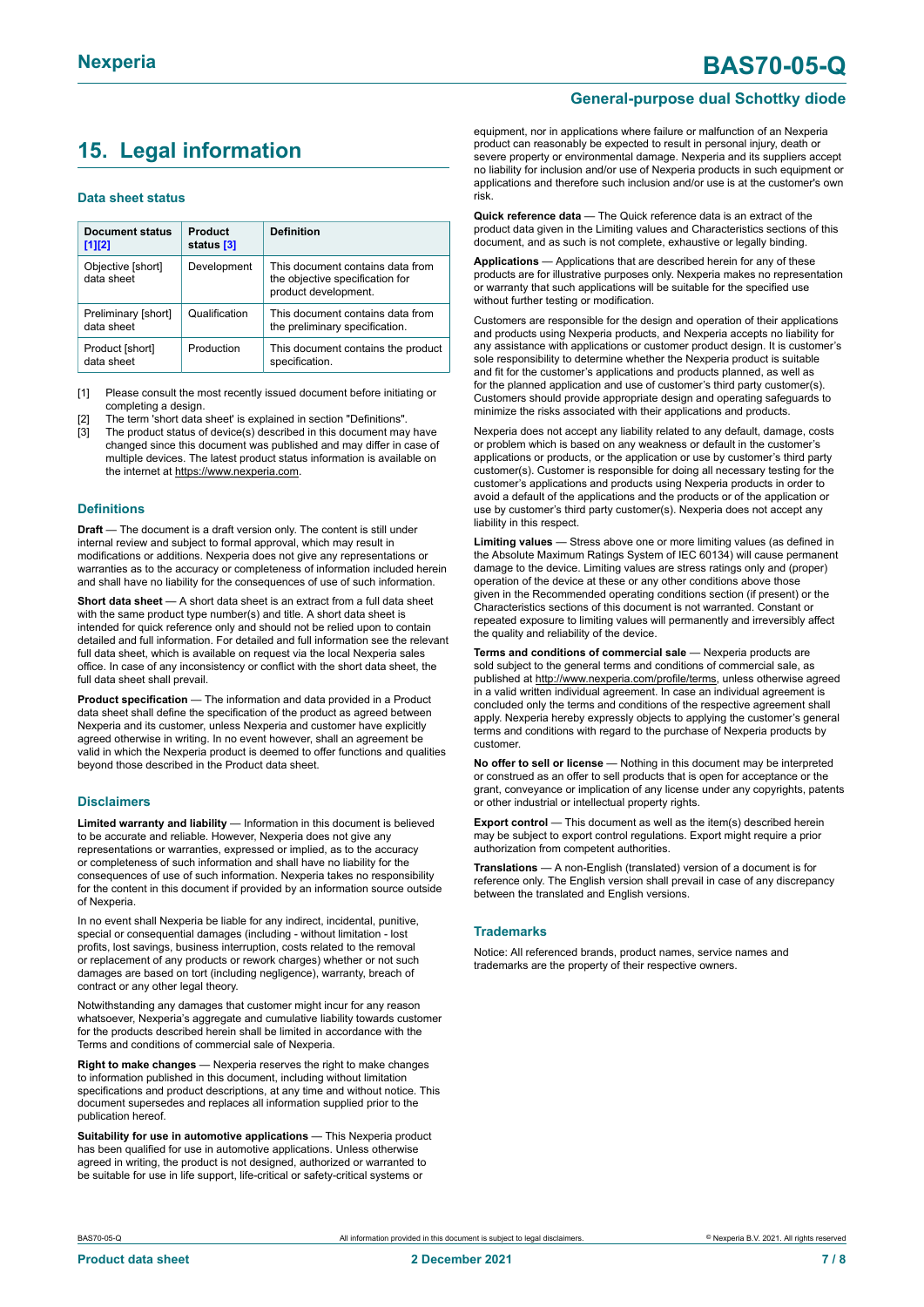# <span id="page-6-0"></span>**15. Legal information**

#### **Data sheet status**

| Document status<br>$[1]$ [2]      | Product<br>status [3] | <b>Definition</b>                                                                           |
|-----------------------------------|-----------------------|---------------------------------------------------------------------------------------------|
| Objective [short]<br>data sheet   | Development           | This document contains data from<br>the objective specification for<br>product development. |
| Preliminary [short]<br>data sheet | Qualification         | This document contains data from<br>the preliminary specification.                          |
| Product [short]<br>data sheet     | Production            | This document contains the product<br>specification.                                        |

[1] Please consult the most recently issued document before initiating or completing a design.

The term 'short data sheet' is explained in section "Definitions"

[3] The product status of device(s) described in this document may have changed since this document was published and may differ in case of multiple devices. The latest product status information is available on the internet at [https://www.nexperia.com.](https://www.nexperia.com)

#### **Definitions**

**Draft** — The document is a draft version only. The content is still under internal review and subject to formal approval, which may result in modifications or additions. Nexperia does not give any representations or warranties as to the accuracy or completeness of information included herein and shall have no liability for the consequences of use of such information.

**Short data sheet** — A short data sheet is an extract from a full data sheet with the same product type number(s) and title. A short data sheet is intended for quick reference only and should not be relied upon to contain detailed and full information. For detailed and full information see the relevant full data sheet, which is available on request via the local Nexperia sales office. In case of any inconsistency or conflict with the short data sheet, the full data sheet shall prevail.

**Product specification** — The information and data provided in a Product data sheet shall define the specification of the product as agreed between Nexperia and its customer, unless Nexperia and customer have explicitly agreed otherwise in writing. In no event however, shall an agreement be valid in which the Nexperia product is deemed to offer functions and qualities beyond those described in the Product data sheet.

#### **Disclaimers**

**Limited warranty and liability** — Information in this document is believed to be accurate and reliable. However, Nexperia does not give any representations or warranties, expressed or implied, as to the accuracy or completeness of such information and shall have no liability for the consequences of use of such information. Nexperia takes no responsibility for the content in this document if provided by an information source outside of Nexperia.

In no event shall Nexperia be liable for any indirect, incidental, punitive, special or consequential damages (including - without limitation - lost profits, lost savings, business interruption, costs related to the removal or replacement of any products or rework charges) whether or not such damages are based on tort (including negligence), warranty, breach of contract or any other legal theory.

Notwithstanding any damages that customer might incur for any reason whatsoever, Nexperia's aggregate and cumulative liability towards customer for the products described herein shall be limited in accordance with the Terms and conditions of commercial sale of Nexperia.

**Right to make changes** — Nexperia reserves the right to make changes to information published in this document, including without limitation specifications and product descriptions, at any time and without notice. This document supersedes and replaces all information supplied prior to the publication hereof.

**Suitability for use in automotive applications** — This Nexperia product has been qualified for use in automotive applications. Unless otherwise agreed in writing, the product is not designed, authorized or warranted to be suitable for use in life support, life-critical or safety-critical systems or

# **Nexperia BAS70-05-Q**

#### **General-purpose dual Schottky diode**

equipment, nor in applications where failure or malfunction of an Nexperia product can reasonably be expected to result in personal injury, death or severe property or environmental damage. Nexperia and its suppliers accept no liability for inclusion and/or use of Nexperia products in such equipment or applications and therefore such inclusion and/or use is at the customer's own risk.

**Quick reference data** — The Quick reference data is an extract of the product data given in the Limiting values and Characteristics sections of this document, and as such is not complete, exhaustive or legally binding.

**Applications** — Applications that are described herein for any of these products are for illustrative purposes only. Nexperia makes no representation or warranty that such applications will be suitable for the specified use without further testing or modification.

Customers are responsible for the design and operation of their applications and products using Nexperia products, and Nexperia accepts no liability for any assistance with applications or customer product design. It is customer's sole responsibility to determine whether the Nexperia product is suitable and fit for the customer's applications and products planned, as well as for the planned application and use of customer's third party customer(s). Customers should provide appropriate design and operating safeguards to minimize the risks associated with their applications and products.

Nexperia does not accept any liability related to any default, damage, costs or problem which is based on any weakness or default in the customer's applications or products, or the application or use by customer's third party customer(s). Customer is responsible for doing all necessary testing for the customer's applications and products using Nexperia products in order to avoid a default of the applications and the products or of the application or use by customer's third party customer(s). Nexperia does not accept any liability in this respect.

**Limiting values** — Stress above one or more limiting values (as defined in the Absolute Maximum Ratings System of IEC 60134) will cause permanent damage to the device. Limiting values are stress ratings only and (proper) operation of the device at these or any other conditions above those given in the Recommended operating conditions section (if present) or the Characteristics sections of this document is not warranted. Constant or repeated exposure to limiting values will permanently and irreversibly affect the quality and reliability of the device.

**Terms and conditions of commercial sale** — Nexperia products are sold subject to the general terms and conditions of commercial sale, as published at [http://www.nexperia.com/profile/terms,](http://www.nexperia.com/profile/terms) unless otherwise agreed in a valid written individual agreement. In case an individual agreement is concluded only the terms and conditions of the respective agreement shall apply. Nexperia hereby expressly objects to applying the customer's general terms and conditions with regard to the purchase of Nexperia products by customer.

**No offer to sell or license** — Nothing in this document may be interpreted or construed as an offer to sell products that is open for acceptance or the grant, conveyance or implication of any license under any copyrights, patents or other industrial or intellectual property rights.

**Export control** — This document as well as the item(s) described herein may be subject to export control regulations. Export might require a prior authorization from competent authorities.

**Translations** — A non-English (translated) version of a document is for reference only. The English version shall prevail in case of any discrepancy between the translated and English versions.

#### **Trademarks**

Notice: All referenced brands, product names, service names and trademarks are the property of their respective owners.